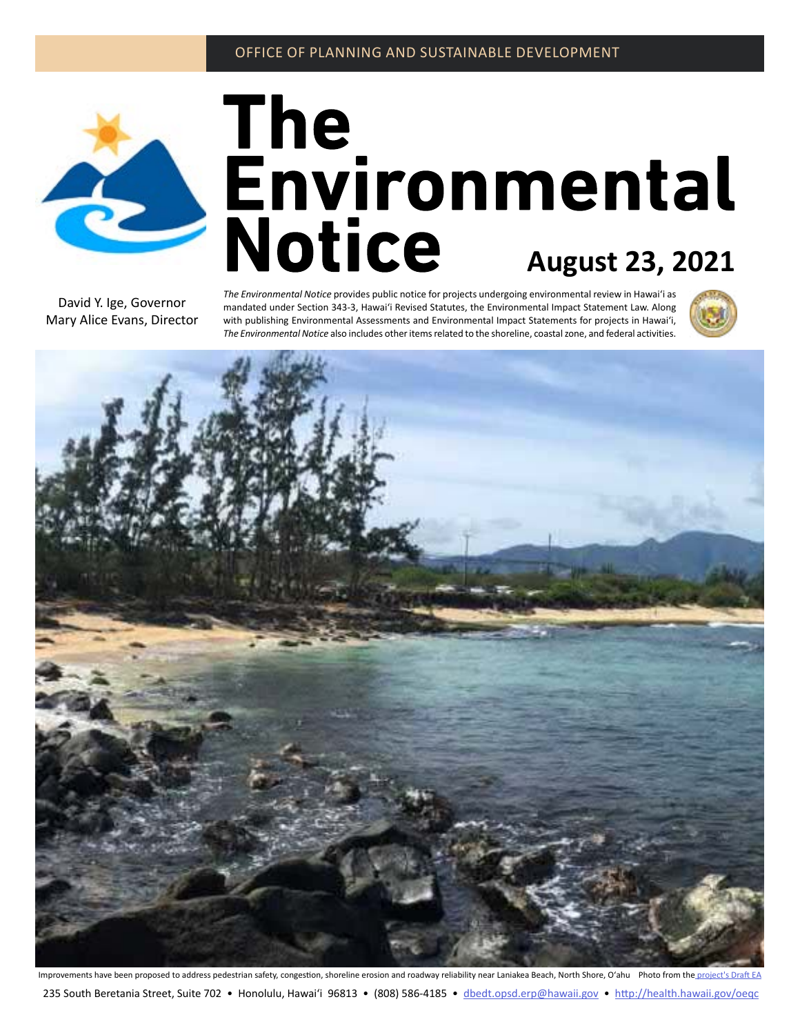

# The<br>**Environmental**<br>Notice August 23, 2021

David Y. Ige, Governor Mary Alice Evans, Director *The Environmental Notice* provides public notice for projects undergoing environmental review in Hawaiʻi as mandated under Section 343-3, Hawaiʻi Revised Statutes, the Environmental Impact Statement Law. Along with publishing Environmental Assessments and Environmental Impact Statements for projects in Hawaiʻi, *The Environmental Notice* also includes other items related to the shoreline, coastal zone, and federal activities.





Improvements have been proposed to address pedestrian safety, congestion, shoreline erosion and roadway reliability near Laniakea Beach, North Shore, O'ahu Photo from th[e project's Draft EA](#page-2-0) 235 South Beretania Street, Suite 702 • Honolulu, Hawai'i 96813 • (808) 586-4185 • dbedt.opsd.er[p@hawaii.gov](mailto:oeqchawaii%40doh.hawaii.gov?subject=) • <http://health.hawaii.gov/oeqc>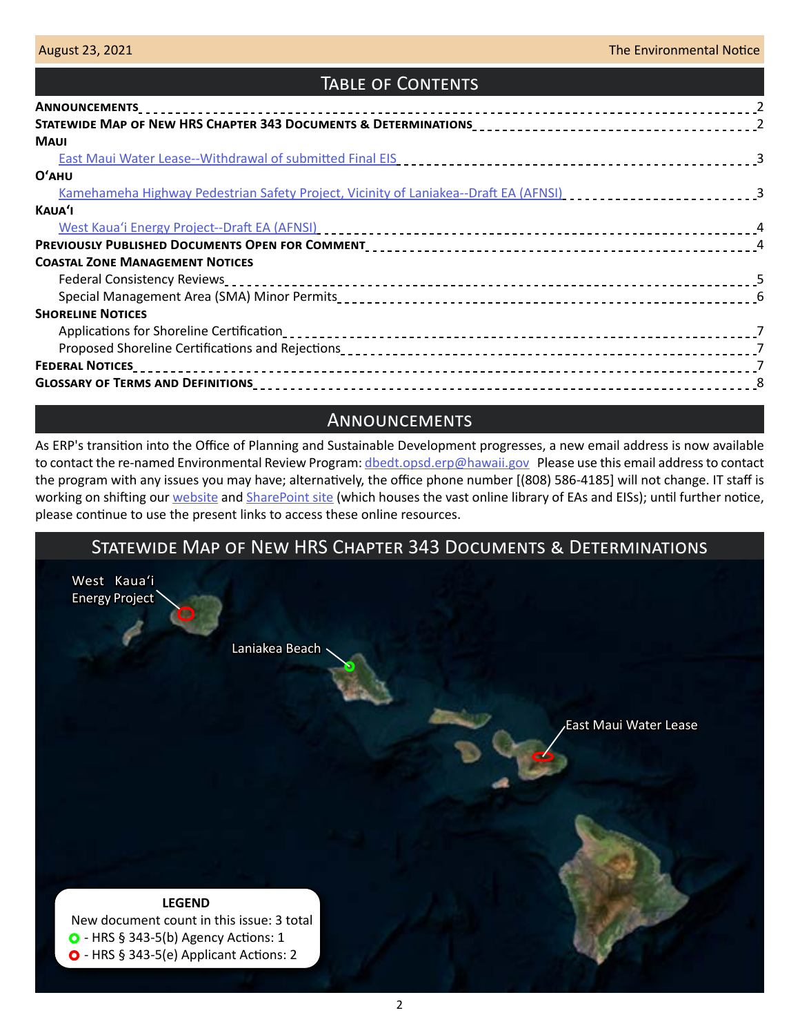# Table of Contents

| <b>MAUI</b>                                                                                                    |  |
|----------------------------------------------------------------------------------------------------------------|--|
|                                                                                                                |  |
| $O'$ AHU                                                                                                       |  |
| Kamehameha Highway Pedestrian Safety Project, Vicinity of Laniakea--Draft EA (AFNSI) [1] [1] [1] [3] [3] [3] [ |  |
| KAUA'I                                                                                                         |  |
| West Kaua'i Energy Project--Draft EA (AFNSI) entirely response to the control of the control of the control of |  |
|                                                                                                                |  |
| <b>COASTAL ZONE MANAGEMENT NOTICES</b>                                                                         |  |
|                                                                                                                |  |
|                                                                                                                |  |
| <b>SHORELINE NOTICES</b>                                                                                       |  |
|                                                                                                                |  |
|                                                                                                                |  |
| <b>FEDERAL NOTICES</b>                                                                                         |  |
|                                                                                                                |  |

# **ANNOUNCEMENTS**

As ERP's transition into the Office of Planning and Sustainable Development progresses, a new email address is now available to contact the re-named Environmental Review Program: [dbedt.opsd.erp@hawaii.gov](mailto:dbedt.opsd.erp%40hawaii.gov?subject=) Please use this email address to contact the program with any issues you may have; alternatively, the office phone number [(808) 586-4185] will not change. IT staff is working on shifting our [website](https://health.hawaii.gov/oeqc/) and [SharePoint site](http://oeqc2.doh.hawaii.gov/_layouts/15/start.aspx#/) (which houses the vast online library of EAs and EISs); until further notice, please continue to use the present links to access these online resources.

# Statewide Map of New HRS Chapter 343 Documents & Determinations [Laniakea Beach](#page-2-0) [West Kauaʻi](#page-3-0)  [Energy Project](#page-3-0)

[East Maui Water Lease](#page-2-0)

### **LEGEND**

 New document count in this issue: 3 total  $\bullet$  - HRS § 343-5(b) Agency Actions: 1 O - HRS § 343-5(e) Applicant Actions: 2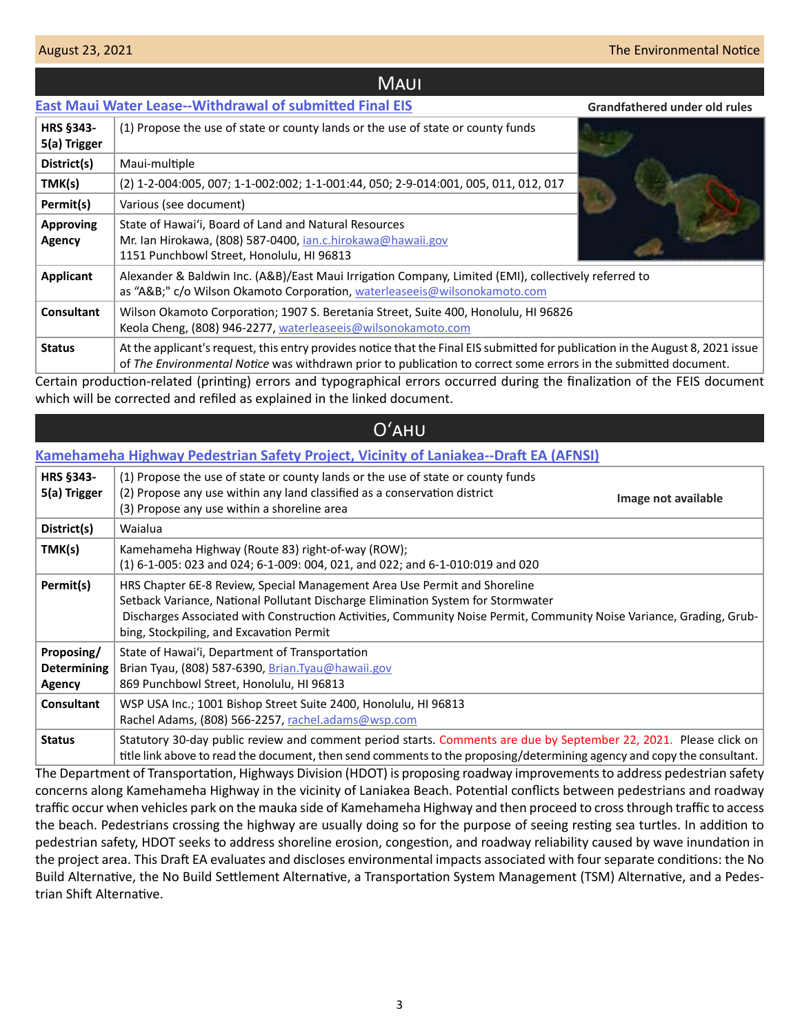**Grandfathered under old rules**

### **MAUI**

### <span id="page-2-0"></span>**[East Maui Water Lease--Withdrawal of submitted Final EIS](http://oeqc2.doh.hawaii.gov/EA_EIS_Library/2021-08-23-MA-Withdrawal-of-Submitted-FEIS-East-Maui-Water-Lease.pdf)**

| <b>HRS §343-</b><br>5(a) Trigger | (1) Propose the use of state or county lands or the use of state or county funds                                                                                                                                                                    |  |  |  |
|----------------------------------|-----------------------------------------------------------------------------------------------------------------------------------------------------------------------------------------------------------------------------------------------------|--|--|--|
| District(s)                      | Maui-multiple                                                                                                                                                                                                                                       |  |  |  |
| TMK(s)                           | (2) 1-2-004:005, 007; 1-1-002:002; 1-1-001:44, 050; 2-9-014:001, 005, 011, 012, 017                                                                                                                                                                 |  |  |  |
| Permit(s)                        | Various (see document)                                                                                                                                                                                                                              |  |  |  |
| <b>Approving</b><br>Agency       | State of Hawai'i, Board of Land and Natural Resources<br>Mr. Ian Hirokawa, (808) 587-0400, <i>ian.c.hirokawa@hawaii.gov</i><br>1151 Punchbowl Street, Honolulu, HI 96813                                                                            |  |  |  |
| <b>Applicant</b>                 | Alexander & Baldwin Inc. (A&B)/East Maui Irrigation Company, Limited (EMI), collectively referred to<br>as "A&B" c/o Wilson Okamoto Corporation, waterleaseeis@wilsonokamoto.com                                                                    |  |  |  |
| Consultant                       | Wilson Okamoto Corporation; 1907 S. Beretania Street, Suite 400, Honolulu, HI 96826<br>Keola Cheng, (808) 946-2277, waterleaseeis@wilsonokamoto.com                                                                                                 |  |  |  |
| <b>Status</b>                    | At the applicant's request, this entry provides notice that the Final EIS submitted for publication in the August 8, 2021 issue<br>of The Environmental Notice was withdrawn prior to publication to correct some errors in the submitted document. |  |  |  |

Certain production-related (printing) errors and typographical errors occurred during the finalization of the FEIS document which will be corrected and refiled as explained in the linked document.

# Oʻahu

### **[Kamehameha Highway Pedestrian Safety Project, Vicinity of Laniakea--Draft EA \(AFNSI\)](http://oeqc2.doh.hawaii.gov/Doc_Library/2021-08-23-OA-DEA-Kamehameha-Highway-Pedestrian-Safety-Project-near-Laniakea.pdf)**

| <b>HRS §343-</b><br>5(a) Trigger           | (1) Propose the use of state or county lands or the use of state or county funds<br>(2) Propose any use within any land classified as a conservation district<br>Image not available<br>(3) Propose any use within a shoreline area                                                                                               |
|--------------------------------------------|-----------------------------------------------------------------------------------------------------------------------------------------------------------------------------------------------------------------------------------------------------------------------------------------------------------------------------------|
| District(s)                                | Waialua                                                                                                                                                                                                                                                                                                                           |
| TMK(s)                                     | Kamehameha Highway (Route 83) right-of-way (ROW);<br>(1) 6-1-005: 023 and 024; 6-1-009: 004, 021, and 022; and 6-1-010:019 and 020                                                                                                                                                                                                |
| Permit(s)                                  | HRS Chapter 6E-8 Review, Special Management Area Use Permit and Shoreline<br>Setback Variance, National Pollutant Discharge Elimination System for Stormwater<br>Discharges Associated with Construction Activities, Community Noise Permit, Community Noise Variance, Grading, Grub-<br>bing, Stockpiling, and Excavation Permit |
| Proposing/<br><b>Determining</b><br>Agency | State of Hawai'i, Department of Transportation<br>Brian Tyau, (808) 587-6390, Brian.Tyau@hawaii.gov<br>869 Punchbowl Street, Honolulu, HI 96813                                                                                                                                                                                   |
| <b>Consultant</b>                          | WSP USA Inc.; 1001 Bishop Street Suite 2400, Honolulu, HI 96813<br>Rachel Adams, (808) 566-2257, rachel.adams@wsp.com                                                                                                                                                                                                             |
| <b>Status</b>                              | Statutory 30-day public review and comment period starts. Comments are due by September 22, 2021. Please click on<br>title link above to read the document, then send comments to the proposing/determining agency and copy the consultant.                                                                                       |

The Department of Transportation, Highways Division (HDOT) is proposing roadway improvements to address pedestrian safety concerns along Kamehameha Highway in the vicinity of Laniakea Beach. Potential conflicts between pedestrians and roadway traffic occur when vehicles park on the mauka side of Kamehameha Highway and then proceed to cross through traffic to access the beach. Pedestrians crossing the highway are usually doing so for the purpose of seeing resting sea turtles. In addition to pedestrian safety, HDOT seeks to address shoreline erosion, congestion, and roadway reliability caused by wave inundation in the project area. This Draft EA evaluates and discloses environmental impacts associated with four separate conditions: the No Build Alternative, the No Build Settlement Alternative, a Transportation System Management (TSM) Alternative, and a Pedestrian Shift Alternative.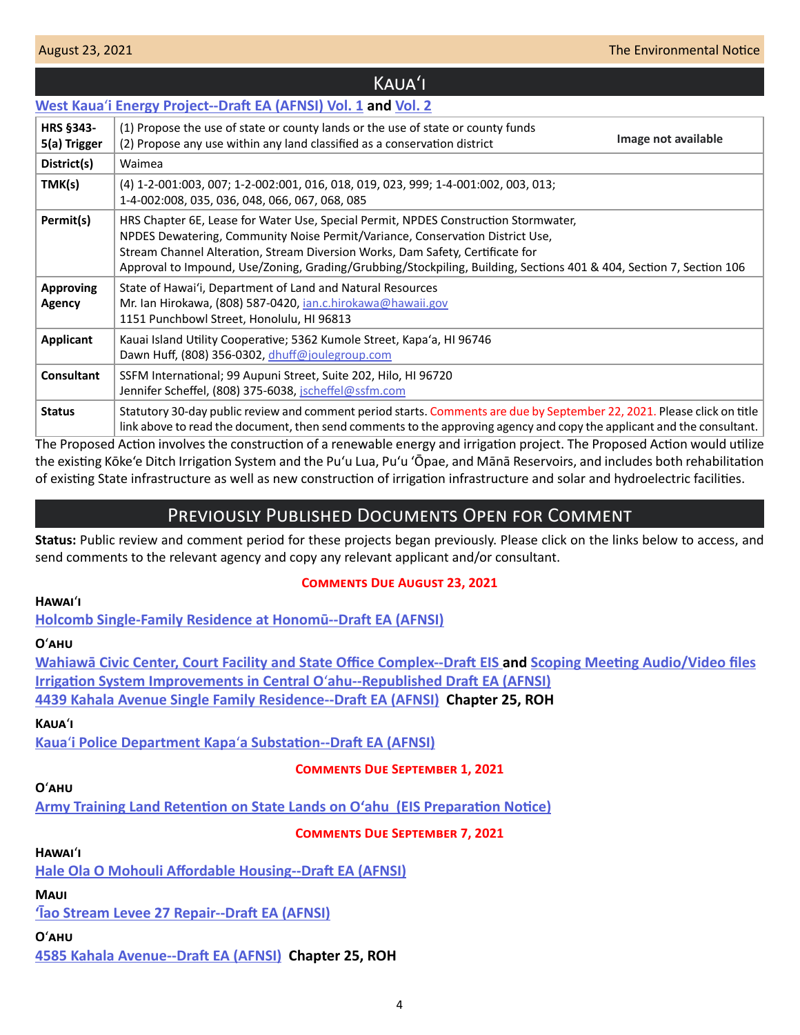**HRS §343- 5(a) Trigger**

### <span id="page-3-0"></span>**West Kaua**ʻ**[i Energy Project--Draft EA \(AFNSI\) Vol. 1](http://oeqc2.doh.hawaii.gov/Doc_Library/2021-08-23-KA-DEA-West-Kauai-Energy-Project-Vol-1.pdf) and [Vol. 2](http://oeqc2.doh.hawaii.gov/Doc_Library/2021-08-23-KA-DEA-West-Kauai-Energy-Project-Vol-2.pdf)** (1) Propose the use of state or county lands or the use of state or county funds (2) Propose any use within any land classified as a conservation district **District(s)** Waimea **TMK(s)** (4) 1-2-001:003, 007; 1-2-002:001, 016, 018, 019, 023, 999; 1-4-001:002, 003, 013; 1-4-002:008, 035, 036, 048, 066, 067, 068, 085 Kauaʻi **Image not available**

|                            | 1-4-002.006, 033, 030, 046, 000, 007, 006, 063                                                                                                                                                                                                                                                                                                                                |
|----------------------------|-------------------------------------------------------------------------------------------------------------------------------------------------------------------------------------------------------------------------------------------------------------------------------------------------------------------------------------------------------------------------------|
| Permit(s)                  | HRS Chapter 6E, Lease for Water Use, Special Permit, NPDES Construction Stormwater,<br>NPDES Dewatering, Community Noise Permit/Variance, Conservation District Use,<br>Stream Channel Alteration, Stream Diversion Works, Dam Safety, Certificate for<br>Approval to Impound, Use/Zoning, Grading/Grubbing/Stockpiling, Building, Sections 401 & 404, Section 7, Section 106 |
| <b>Approving</b><br>Agency | State of Hawai'i, Department of Land and Natural Resources<br>Mr. Ian Hirokawa, (808) 587-0420, ian.c.hirokawa@hawaii.gov<br>1151 Punchbowl Street, Honolulu, HI 96813                                                                                                                                                                                                        |
| <b>Applicant</b>           | Kauai Island Utility Cooperative; 5362 Kumole Street, Kapa'a, HI 96746<br>Dawn Huff, (808) 356-0302, dhuff@joulegroup.com                                                                                                                                                                                                                                                     |
| <b>Consultant</b>          | SSFM International; 99 Aupuni Street, Suite 202, Hilo, HI 96720<br>Jennifer Scheffel, (808) 375-6038, jscheffel@ssfm.com                                                                                                                                                                                                                                                      |
| <b>Status</b>              | Statutory 30-day public review and comment period starts. Comments are due by September 22, 2021. Please click on title<br>link above to read the document, then send comments to the approving agency and copy the applicant and the consultant.                                                                                                                             |

The Proposed Action involves the construction of a renewable energy and irrigation project. The Proposed Action would utilize the existing Kōke'e Ditch Irrigation System and the Pu'u Lua, Pu'u 'Ōpae, and Mānā Reservoirs, and includes both rehabilitation of existing State infrastructure as well as new construction of irrigation infrastructure and solar and hydroelectric facilities.

# Previously Published Documents Open for Comment

**Status:** Public review and comment period for these projects began previously. Please click on the links below to access, and send comments to the relevant agency and copy any relevant applicant and/or consultant.

### **Comments Due August 23, 2021**

### **Hawai**ʻ**i**

**[Holcomb Single-Family Residence at Honomū--Draft EA \(AFNSI\)](http://oeqc2.doh.hawaii.gov/Doc_Library/2021-07-23-HA-DEA-Holcomb-Single-Family-Residence-at-Honomu.pdf)**

### **O**ʻ**ahu**

**[Wahiawā Civic Center, Court Facility and State Office Complex--Draft EIS](http://oeqc2.doh.hawaii.gov/Doc_Library/2021-07-08-OA-DEIS-Wahiawa-Civic-Center-Court-Facility-and-State-Office-Complex.pdf) and [Scoping Meeting Audio/Video files](http://oeqc2.doh.hawaii.gov/Doc_Library/2021-07-08-OA-DEIS-Wahiawa-Civic-Center-Court-Facility-and-State-Office-Complex-Scoping-Mtg-AV-Files.pdf) [Irrigation System Improvements in Central O](http://oeqc2.doh.hawaii.gov/Doc_Library/2021-07-23-OA-Republished-DEA-Irrigation-System-Improvements-in-Central-Oahu.pdf)**ʻ**ahu--Republished Draft EA (AFNSI) [4439 Kahala Avenue Single Family Residence--Draft EA \(AFNSI\)](http://oeqc2.doh.hawaii.gov/Other_TEN_Publications/2021-07-23-OA-Chapter-25-DEA-4439-Kahala-Avenue-Single-Family-Residence.pdf) Chapter 25, ROH**

### **Kaua**ʻ**i**

**Kaua**ʻ**i Police Department Kapa**ʻ**[a Substation--Draft EA \(AFNSI\)](http://oeqc2.doh.hawaii.gov/Doc_Library/2021-07-23-KA-DEA-Kauai-Police-Department-Kapaa-Substation.pdf)**

# **Comments Due September 1, 2021**

## **O**ʻ**ahu**

**[Army Training Land Retention on State Lands on Oʻahu \(EIS Preparation Notice\)](http://oeqc2.doh.hawaii.gov/Doc_Library/2021-07-23-OA-EISPN-Army-Training-Land-Retention-on-Oahu.pdf)**

**Comments Due September 7, 2021**

### **Hawai**ʻ**i**

**[Hale Ola O Mohouli Affordable Housing--Draft EA \(AFNSI\)](http://oeqc2.doh.hawaii.gov/Doc_Library/2021-08-08-HA-DEA-Hale-Ola-O-Mohouli-Affordable-Housing.pdf)**

# **Maui**

**['Īao Stream Levee 27 Repair--Draft EA \(AFNSI\)](http://oeqc2.doh.hawaii.gov/Doc_Library/2021-08-08-MA-DEA-Iao-Stream-Levee-27-Repair.pdf)**

# **O**ʻ**ahu**

**[4585 Kahala Avenue--Draft EA \(AFNSI\)](http://oeqc2.doh.hawaii.gov/Other_TEN_Publications/2021-08-08-OA-Chapter-25-DEA-4585-Kahala-Avenue.pdf) Chapter 25, ROH**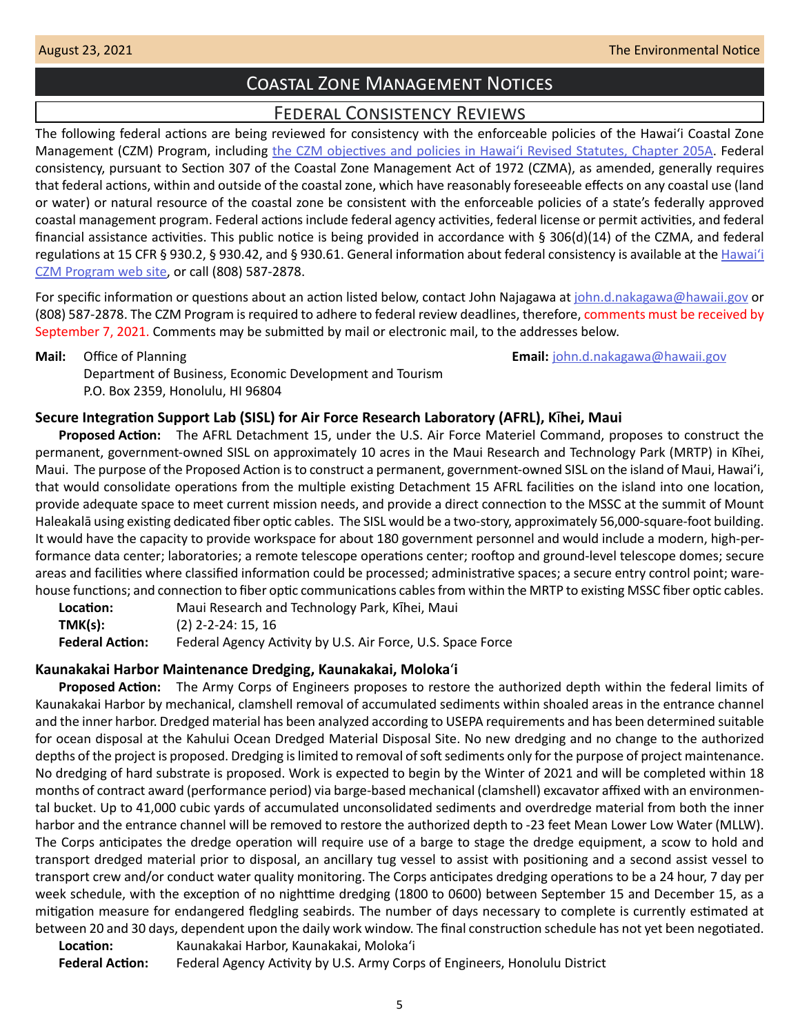# Coastal Zone Management Notices

# Federal Consistency Reviews

<span id="page-4-0"></span>The following federal actions are being reviewed for consistency with the enforceable policies of the Hawaiʻi Coastal Zone Management (CZM) Program, including [the CZM objectives and policies in Hawaiʻi Revised Statutes, Chapter 205A.](https://www.capitol.hawaii.gov/hrscurrent/Vol04_Ch0201-0257/HRS0205A/HRS_0205A-0002.htm) Federal consistency, pursuant to Section 307 of the Coastal Zone Management Act of 1972 (CZMA), as amended, generally requires that federal actions, within and outside of the coastal zone, which have reasonably foreseeable effects on any coastal use (land or water) or natural resource of the coastal zone be consistent with the enforceable policies of a state's federally approved coastal management program. Federal actions include federal agency activities, federal license or permit activities, and federal financial assistance activities. This public notice is being provided in accordance with § 306(d)(14) of the CZMA, and federal regulations at 15 CFR § 930.2, § 930.42, and § 930.61. General information about federal consistency is available at the [Hawai](http://planning.hawaii.gov/czm/federal-consistency/)ʻi [CZM Program web site,](http://planning.hawaii.gov/czm/federal-consistency/) or call (808) 587-2878.

For specific information or questions about an action listed below, contact John Najagawa at [john.d.nakagawa@hawaii.gov](mailto:john.d.nakagawa%40hawaii.gov?subject=) or (808) 587-2878. The CZM Program is required to adhere to federal review deadlines, therefore, comments must be received by September 7, 2021. Comments may be submitted by mail or electronic mail, to the addresses below.

**Mail:** Office of Planning **Email:** [john.d.nakagawa@hawaii.gov](mailto:john.d.nakagawa@hawaii.gov) Department of Business, Economic Development and Tourism P.O. Box 2359, Honolulu, HI 96804

### **Secure Integration Support Lab (SISL) for Air Force Research Laboratory (AFRL), K**�**hei, Maui**

**Proposed Action:** The AFRL Detachment 15, under the U.S. Air Force Materiel Command, proposes to construct the permanent, government-owned SISL on approximately 10 acres in the Maui Research and Technology Park (MRTP) in Kīhei, Maui. The purpose of the Proposed Action is to construct a permanent, government-owned SISL on the island of Maui, Hawai'i, that would consolidate operations from the multiple existing Detachment 15 AFRL facilities on the island into one location, provide adequate space to meet current mission needs, and provide a direct connection to the MSSC at the summit of Mount Haleakalā using existing dedicated fiber optic cables. The SISL would be a two-story, approximately 56,000-square-foot building. It would have the capacity to provide workspace for about 180 government personnel and would include a modern, high-performance data center; laboratories; a remote telescope operations center; rooftop and ground-level telescope domes; secure areas and facilities where classified information could be processed; administrative spaces; a secure entry control point; warehouse functions; and connection to fiber optic communications cables from within the MRTP to existing MSSC fiber optic cables.

Location: Maui Research and Technology Park, Kihei, Maui **TMK(s):** (2) 2-2-24: 15, 16 **Federal Action:** Federal Agency Activity by U.S. Air Force, U.S. Space Force

### **Kaunakakai Harbor Maintenance Dredging, Kaunakakai, Moloka**ʻ**i**

**Proposed Action:** The Army Corps of Engineers proposes to restore the authorized depth within the federal limits of Kaunakakai Harbor by mechanical, clamshell removal of accumulated sediments within shoaled areas in the entrance channel and the inner harbor. Dredged material has been analyzed according to USEPA requirements and has been determined suitable for ocean disposal at the Kahului Ocean Dredged Material Disposal Site. No new dredging and no change to the authorized depths of the project is proposed. Dredging is limited to removal of soft sediments only for the purpose of project maintenance. No dredging of hard substrate is proposed. Work is expected to begin by the Winter of 2021 and will be completed within 18 months of contract award (performance period) via barge-based mechanical (clamshell) excavator affixed with an environmental bucket. Up to 41,000 cubic yards of accumulated unconsolidated sediments and overdredge material from both the inner harbor and the entrance channel will be removed to restore the authorized depth to -23 feet Mean Lower Low Water (MLLW). The Corps anticipates the dredge operation will require use of a barge to stage the dredge equipment, a scow to hold and transport dredged material prior to disposal, an ancillary tug vessel to assist with positioning and a second assist vessel to transport crew and/or conduct water quality monitoring. The Corps anticipates dredging operations to be a 24 hour, 7 day per week schedule, with the exception of no nighttime dredging (1800 to 0600) between September 15 and December 15, as a mitigation measure for endangered fledgling seabirds. The number of days necessary to complete is currently estimated at between 20 and 30 days, dependent upon the daily work window. The final construction schedule has not yet been negotiated.

**Location:** Kaunakakai Harbor, Kaunakakai, Molokaʻi **Federal Action:** Federal Agency Activity by U.S. Army Corps of Engineers, Honolulu District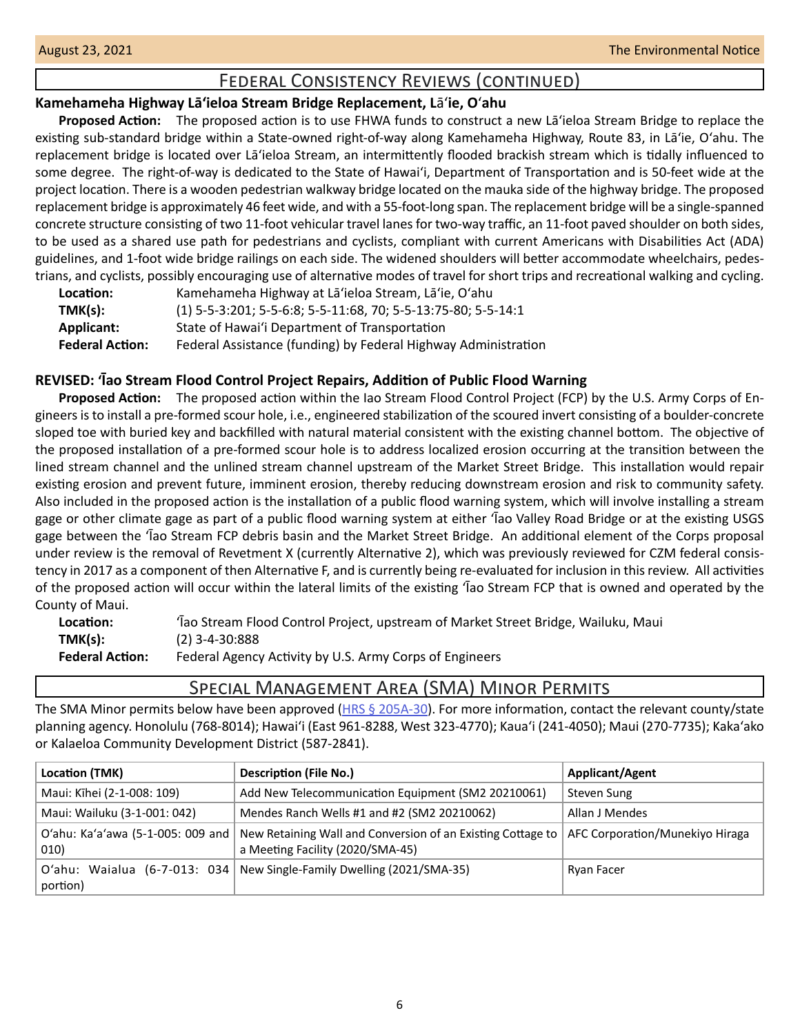# Federal Consistency Reviews (continued)

### <span id="page-5-0"></span>**Kamehameha Highway Lāʻieloa Stream Bridge Replacement, L**āʻ**ie, O**ʻ**ahu**

**Proposed Action:** The proposed action is to use FHWA funds to construct a new Lāʻieloa Stream Bridge to replace the existing sub-standard bridge within a State-owned right-of-way along Kamehameha Highway, Route 83, in Lāʻie, Oʻahu. The replacement bridge is located over Lāʻieloa Stream, an intermittently flooded brackish stream which is tidally influenced to some degree. The right-of-way is dedicated to the State of Hawaiʻi, Department of Transportation and is 50-feet wide at the project location. There is a wooden pedestrian walkway bridge located on the mauka side of the highway bridge. The proposed replacement bridge is approximately 46 feet wide, and with a 55-foot-long span. The replacement bridge will be a single-spanned concrete structure consisting of two 11-foot vehicular travel lanes for two-way traffic, an 11-foot paved shoulder on both sides, to be used as a shared use path for pedestrians and cyclists, compliant with current Americans with Disabilities Act (ADA) guidelines, and 1-foot wide bridge railings on each side. The widened shoulders will better accommodate wheelchairs, pedestrians, and cyclists, possibly encouraging use of alternative modes of travel for short trips and recreational walking and cycling.

| Location:              | Kamehameha Highway at La'ieloa Stream, La'ie, O'ahu            |
|------------------------|----------------------------------------------------------------|
| TMK(s):                | (1) 5-5-3:201; 5-5-6:8; 5-5-11:68, 70; 5-5-13:75-80; 5-5-14:1  |
| Applicant:             | State of Hawai'i Department of Transportation                  |
| <b>Federal Action:</b> | Federal Assistance (funding) by Federal Highway Administration |

### **REVISED: 'Īao Stream Flood Control Project Repairs, Addition of Public Flood Warning**

**Proposed Action:** The proposed action within the Iao Stream Flood Control Project (FCP) by the U.S. Army Corps of Engineers is to install a pre-formed scour hole, i.e., engineered stabilization of the scoured invert consisting of a boulder-concrete sloped toe with buried key and backfilled with natural material consistent with the existing channel bottom. The objective of the proposed installation of a pre-formed scour hole is to address localized erosion occurring at the transition between the lined stream channel and the unlined stream channel upstream of the Market Street Bridge. This installation would repair existing erosion and prevent future, imminent erosion, thereby reducing downstream erosion and risk to community safety. Also included in the proposed action is the installation of a public flood warning system, which will involve installing a stream gage or other climate gage as part of a public flood warning system at either 'Īao Valley Road Bridge or at the existing USGS gage between the 'Īao Stream FCP debris basin and the Market Street Bridge. An additional element of the Corps proposal under review is the removal of Revetment X (currently Alternative 2), which was previously reviewed for CZM federal consistency in 2017 as a component of then Alternative F, and is currently being re-evaluated for inclusion in this review. All activities of the proposed action will occur within the lateral limits of the existing 'Īao Stream FCP that is owned and operated by the County of Maui.

| Location:              | Tao Stream Flood Control Project, upstream of Market Street Bridge, Wailuku, Maui |
|------------------------|-----------------------------------------------------------------------------------|
| TMK(s):                | $(2)$ 3-4-30:888                                                                  |
| <b>Federal Action:</b> | Federal Agency Activity by U.S. Army Corps of Engineers                           |

# Special Management Area (SMA) Minor Permits

The SMA Minor permits below have been approved ([HRS § 205A-30](https://www.capitol.hawaii.gov/hrscurrent/Vol04_Ch0201-0257/HRS0205A/HRS_0205A-0030.htm)). For more information, contact the relevant county/state planning agency. Honolulu (768-8014); Hawaiʻi (East 961-8288, West 323-4770); Kauaʻi (241-4050); Maui (270-7735); Kakaʻako or Kalaeloa Community Development District (587-2841).

| Location (TMK)                            | <b>Description (File No.)</b>                                                                   | <b>Applicant/Agent</b>          |
|-------------------------------------------|-------------------------------------------------------------------------------------------------|---------------------------------|
| Maui: Kīhei (2-1-008: 109)                | Add New Telecommunication Equipment (SM2 20210061)                                              | Steven Sung                     |
| Maui: Wailuku (3-1-001: 042)              | Mendes Ranch Wells #1 and #2 (SM2 20210062)                                                     | Allan J Mendes                  |
| O'ahu: Ka'a'awa (5-1-005: 009 and<br>010) | New Retaining Wall and Conversion of an Existing Cottage to<br>a Meeting Facility (2020/SMA-45) | AFC Corporation/Munekiyo Hiraga |
| portion)                                  | O'ahu: Waialua (6-7-013: 034 New Single-Family Dwelling (2021/SMA-35)                           | Ryan Facer                      |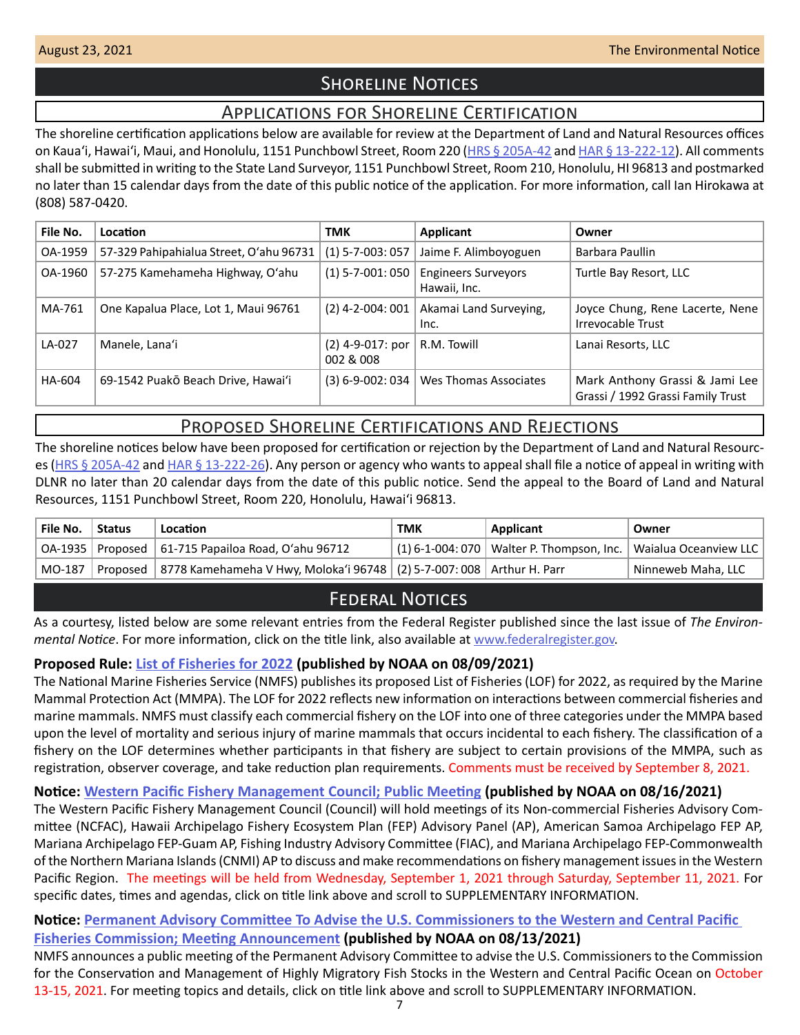# **SHORELINE NOTICES**

# Applications for Shoreline Certification

<span id="page-6-0"></span>The shoreline certification applications below are available for review at the Department of Land and Natural Resources offices on Kauaʻi, Hawaiʻi, Maui, and Honolulu, 1151 Punchbowl Street, Room 220 ([HRS § 205A-42](https://www.capitol.hawaii.gov/hrscurrent/Vol04_Ch0201-0257/HRS0205A/HRS_0205A-0042.htm) and [HAR § 13-222-12\)](https://dlnr.hawaii.gov/ld/files/2013/07/Ch13-222-Amend-Compil-Stand-Rev1.pdf). All comments shall be submitted in writing to the State Land Surveyor, 1151 Punchbowl Street, Room 210, Honolulu, HI 96813 and postmarked no later than 15 calendar days from the date of this public notice of the application. For more information, call Ian Hirokawa at (808) 587-0420.

| File No. | Location                                | <b>TMK</b>                              | Applicant                                  | Owner                                                               |
|----------|-----------------------------------------|-----------------------------------------|--------------------------------------------|---------------------------------------------------------------------|
| OA-1959  | 57-329 Pahipahialua Street, O'ahu 96731 | $(1) 5 - 7 - 003: 057$                  | Jaime F. Alimboyoguen                      | Barbara Paullin                                                     |
| OA-1960  | 57-275 Kamehameha Highway, O'ahu        | $(1)$ 5-7-001: 050                      | <b>Engineers Surveyors</b><br>Hawaii, Inc. | Turtle Bay Resort, LLC                                              |
| MA-761   | One Kapalua Place, Lot 1, Maui 96761    | $(2)$ 4-2-004: 001                      | Akamai Land Surveying,<br>Inc.             | Joyce Chung, Rene Lacerte, Nene<br>Irrevocable Trust                |
| LA-027   | Manele, Lana'i                          | $(2)$ 4-9-017: por $\vert$<br>002 & 008 | R.M. Towill                                | Lanai Resorts, LLC                                                  |
| HA-604   | 69-1542 Puakō Beach Drive, Hawai'i      | $(3) 6 - 9 - 002: 034$                  | Wes Thomas Associates                      | Mark Anthony Grassi & Jami Lee<br>Grassi / 1992 Grassi Family Trust |

# Proposed Shoreline Certifications and Rejections

The shoreline notices below have been proposed for certification or rejection by the Department of Land and Natural Resourc-es [\(HRS § 205A-42](http://HRS § 205A-42) and [HAR § 13-222-26\)](https://dlnr.hawaii.gov/ld/files/2013/07/Ch13-222-Amend-Compil-Stand-Rev1.pdf). Any person or agency who wants to appeal shall file a notice of appeal in writing with DLNR no later than 20 calendar days from the date of this public notice. Send the appeal to the Board of Land and Natural Resources, 1151 Punchbowl Street, Room 220, Honolulu, Hawai'i 96813.

| File No. | <b>Status</b> | Location                                                                                      | <b>TMK</b> | Applicant                                                             | Owner              |
|----------|---------------|-----------------------------------------------------------------------------------------------|------------|-----------------------------------------------------------------------|--------------------|
|          |               | $\vert$ OA-1935   Proposed $\vert$ 61-715 Papailoa Road, O'ahu 96712                          |            | $(1)$ 6-1-004: 070   Walter P. Thompson, Inc.   Waialua Oceanview LLC |                    |
|          |               | MO-187   Proposed   8778 Kamehameha V Hwy, Moloka'i 96748   (2) 5-7-007: 008   Arthur H. Parr |            |                                                                       | Ninneweb Maha, LLC |

# **FEDERAL NOTICES**

As a courtesy, listed below are some relevant entries from the Federal Register published since the last issue of *The Environmental Notice*. For more information, click on the title link, also available at [www.federalregister.gov](http://www.federalregister.gov).

### **Proposed Rule: [List of Fisheries for 2022](https://www.federalregister.gov/documents/2021/08/09/2021-16653/list-of-fisheries-for-2022) (published by NOAA on 08/09/2021)**

The National Marine Fisheries Service (NMFS) publishes its proposed List of Fisheries (LOF) for 2022, as required by the Marine Mammal Protection Act (MMPA). The LOF for 2022 reflects new information on interactions between commercial fisheries and marine mammals. NMFS must classify each commercial fishery on the LOF into one of three categories under the MMPA based upon the level of mortality and serious injury of marine mammals that occurs incidental to each fishery. The classification of a fishery on the LOF determines whether participants in that fishery are subject to certain provisions of the MMPA, such as registration, observer coverage, and take reduction plan requirements. Comments must be received by September 8, 2021.

# **Notice: [Western Pacific Fishery Management Council; Public Meeting](https://www.federalregister.gov/documents/2021/08/16/2021-17448/western-pacific-fishery-management-council-public-meeting) (published by NOAA on 08/16/2021)**

The Western Pacific Fishery Management Council (Council) will hold meetings of its Non-commercial Fisheries Advisory Committee (NCFAC), Hawaii Archipelago Fishery Ecosystem Plan (FEP) Advisory Panel (AP), American Samoa Archipelago FEP AP, Mariana Archipelago FEP-Guam AP, Fishing Industry Advisory Committee (FIAC), and Mariana Archipelago FEP-Commonwealth of the Northern Mariana Islands (CNMI) AP to discuss and make recommendations on fishery management issues in the Western Pacific Region. The meetings will be held from Wednesday, September 1, 2021 through Saturday, September 11, 2021. For specific dates, times and agendas, click on title link above and scroll to SUPPLEMENTARY INFORMATION.

### **Notice: [Permanent Advisory Committee To Advise the U.S. Commissioners to the Western and Central Pacific](https://www.federalregister.gov/documents/2021/08/13/2021-17356/permanent-advisory-committee-to-advise-the-us-commissioners-to-the-western-and-central-pacific)**

**[Fisheries Commission; Meeting Announcement](https://www.federalregister.gov/documents/2021/08/13/2021-17356/permanent-advisory-committee-to-advise-the-us-commissioners-to-the-western-and-central-pacific) (published by NOAA on 08/13/2021)**

NMFS announces a public meeting of the Permanent Advisory Committee to advise the U.S. Commissioners to the Commission for the Conservation and Management of Highly Migratory Fish Stocks in the Western and Central Pacific Ocean on October 13-15, 2021. For meeting topics and details, click on title link above and scroll to SUPPLEMENTARY INFORMATION.